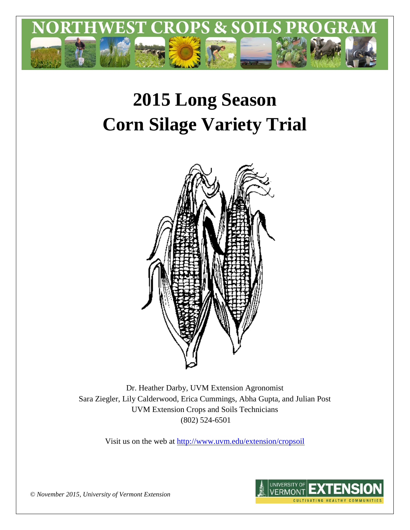

# **2015 Long Season Corn Silage Variety Trial**



Dr. Heather Darby, UVM Extension Agronomist Sara Ziegler, Lily Calderwood, Erica Cummings, Abha Gupta, and Julian Post UVM Extension Crops and Soils Technicians (802) 524-6501

Visit us on the web at <http://www.uvm.edu/extension/cropsoil>



*© November 2015, University of Vermont Extension*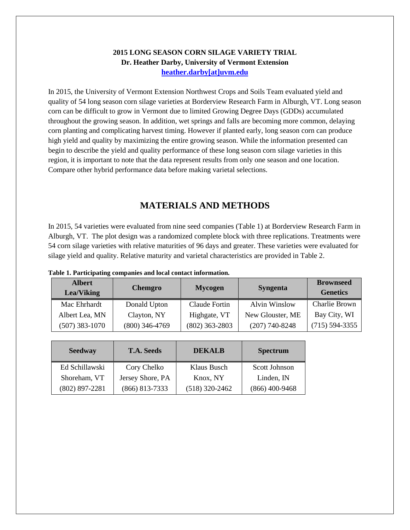# **2015 LONG SEASON CORN SILAGE VARIETY TRIAL Dr. Heather Darby, University of Vermont Extension [heather.darby\[at\]uvm.edu](mailto:heather.darby@uvm.edu?subject=2013%20Long%20Season%20Corn%20Report)**

In 2015, the University of Vermont Extension Northwest Crops and Soils Team evaluated yield and quality of 54 long season corn silage varieties at Borderview Research Farm in Alburgh, VT. Long season corn can be difficult to grow in Vermont due to limited Growing Degree Days (GDDs) accumulated throughout the growing season. In addition, wet springs and falls are becoming more common, delaying corn planting and complicating harvest timing. However if planted early, long season corn can produce high yield and quality by maximizing the entire growing season. While the information presented can begin to describe the yield and quality performance of these long season corn silage varieties in this region, it is important to note that the data represent results from only one season and one location. Compare other hybrid performance data before making varietal selections.

# **MATERIALS AND METHODS**

In 2015, 54 varieties were evaluated from nine seed companies (Table 1) at Borderview Research Farm in Alburgh, VT. The plot design was a randomized complete block with three replications. Treatments were 54 corn silage varieties with relative maturities of 96 days and greater. These varieties were evaluated for silage yield and quality. Relative maturity and varietal characteristics are provided in Table 2.

| <b>Albert</b><br><b>Lea/Viking</b> | <b>Chemgro</b>   | <b>Mycogen</b>   | <b>Syngenta</b>      | <b>Brownseed</b><br><b>Genetics</b> |
|------------------------------------|------------------|------------------|----------------------|-------------------------------------|
| Mac Ehrhardt                       | Donald Upton     | Claude Fortin    | <b>Alvin Winslow</b> | <b>Charlie Brown</b>                |
| Albert Lea, MN                     | Clayton, NY      | Highgate, VT     | New Glouster, ME     | Bay City, WI                        |
| $(507)$ 383-1070                   | $(800)$ 346-4769 | $(802)$ 363-2803 | $(207)$ 740-8248     | $(715)$ 594-3355                    |

| Table 1. Participating companies and local contact information. |  |  |
|-----------------------------------------------------------------|--|--|
|                                                                 |  |  |

| <b>Seedway</b>   | <b>T.A. Seeds</b> | <b>DEKALB</b>    | <b>Spectrum</b>      |  |
|------------------|-------------------|------------------|----------------------|--|
| Ed Schillawski   | Cory Chelko       | Klaus Busch      | <b>Scott Johnson</b> |  |
| Shoreham, VT     | Jersey Shore, PA  | Knox, NY         | Linden, IN           |  |
| $(802)$ 897-2281 | $(866)$ 813-7333  | $(518)$ 320-2462 | $(866)$ 400-9468     |  |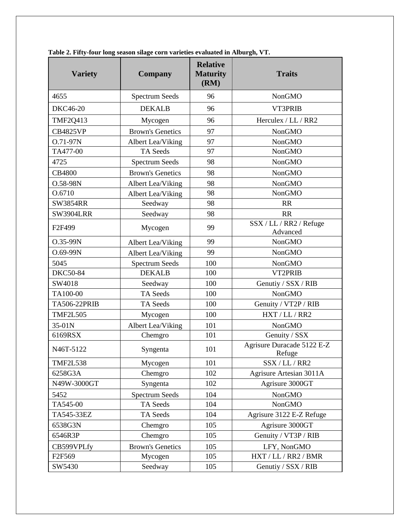| <b>Variety</b>      | Company                 | <b>Relative</b><br><b>Maturity</b><br>(RM) | <b>Traits</b>                        |  |
|---------------------|-------------------------|--------------------------------------------|--------------------------------------|--|
| 4655                | <b>Spectrum Seeds</b>   | 96                                         | <b>NonGMO</b>                        |  |
| <b>DKC46-20</b>     | <b>DEKALB</b>           | 96                                         | VT3PRIB                              |  |
| <b>TMF2Q413</b>     | Mycogen                 | 96                                         | Herculex / LL / RR2                  |  |
| <b>CB4825VP</b>     | <b>Brown's Genetics</b> | 97                                         | <b>NonGMO</b>                        |  |
| O.71-97N            | Albert Lea/Viking       | 97                                         | <b>NonGMO</b>                        |  |
| TA477-00            | TA Seeds                | 97                                         | <b>NonGMO</b>                        |  |
| 4725                | <b>Spectrum Seeds</b>   | 98                                         | <b>NonGMO</b>                        |  |
| <b>CB4800</b>       | <b>Brown's Genetics</b> | 98                                         | <b>NonGMO</b>                        |  |
| O.58-98N            | Albert Lea/Viking       | 98                                         | <b>NonGMO</b>                        |  |
| O.6710              | Albert Lea/Viking       | 98                                         | <b>NonGMO</b>                        |  |
| <b>SW3854RR</b>     | Seedway                 | 98                                         | <b>RR</b>                            |  |
| <b>SW3904LRR</b>    | Seedway                 | 98                                         | <b>RR</b>                            |  |
| F <sub>2F499</sub>  | Mycogen                 | 99                                         | SSX / LL / RR2 / Refuge<br>Advanced  |  |
| O.35-99N            | Albert Lea/Viking       | 99                                         | <b>NonGMO</b>                        |  |
| O.69-99N            | Albert Lea/Viking       | 99                                         | <b>NonGMO</b>                        |  |
| 5045                | <b>Spectrum Seeds</b>   | 100                                        | <b>NonGMO</b>                        |  |
| <b>DKC50-84</b>     | <b>DEKALB</b>           | 100                                        | VT2PRIB                              |  |
| SW4018              | Seedway                 | 100                                        | Genutiy / SSX / RIB                  |  |
| TA100-00            | TA Seeds                | 100                                        | <b>NonGMO</b>                        |  |
| <b>TA506-22PRIB</b> | TA Seeds                | 100                                        | Genuity / VT2P / RIB                 |  |
| <b>TMF2L505</b>     | Mycogen                 | 100                                        | HXT / LL / RR2                       |  |
| 35-01N              | Albert Lea/Viking       | 101                                        | <b>NonGMO</b>                        |  |
| 6169RSX             | Chemgro                 | 101                                        | Genuity / SSX                        |  |
| N46T-5122           | Syngenta                | 101                                        | Agrisure Duracade 5122 E-Z<br>Refuge |  |
| <b>TMF2L538</b>     | Mycogen                 | 101                                        | SSX / LL / RR2                       |  |
| 6258G3A             | Chemgro                 | 102                                        | Agrisure Artesian 3011A              |  |
| N49W-3000GT         | Syngenta                | 102                                        | Agrisure 3000GT                      |  |
| 5452                | <b>Spectrum Seeds</b>   | 104                                        | <b>NonGMO</b>                        |  |
| TA545-00            | TA Seeds                | 104                                        | <b>NonGMO</b>                        |  |
| TA545-33EZ          | TA Seeds                | 104                                        | Agrisure 3122 E-Z Refuge             |  |
| 6538G3N             | Chemgro                 | 105                                        | Agrisure 3000GT                      |  |
| 6546R3P             | Chemgro                 | 105                                        | Genuity / VT3P / RIB                 |  |
| CB599VPLfy          | <b>Brown's Genetics</b> | 105                                        | LFY, NonGMO                          |  |
| F2F569              | Mycogen                 | 105                                        | HXT / LL / RR2 / BMR                 |  |
| SW5430              | Seedway                 | 105                                        | Genutiy / SSX / RIB                  |  |

**Table 2. Fifty-four long season silage corn varieties evaluated in Alburgh, VT.**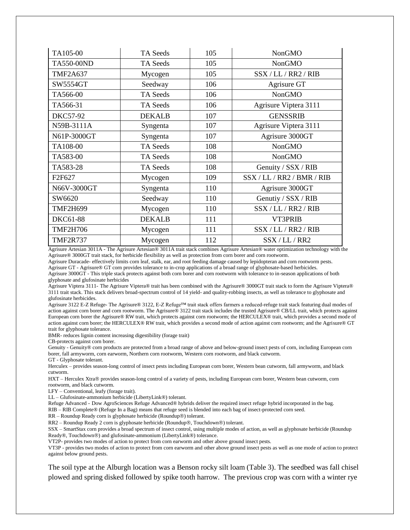| TA105-00        | TA Seeds      | 105 | <b>NonGMO</b>              |
|-----------------|---------------|-----|----------------------------|
| TA550-00ND      | TA Seeds      | 105 | <b>NonGMO</b>              |
| <b>TMF2A637</b> | Mycogen       | 105 | SSX / LL / RR2 / RIB       |
| SW5554GT        | Seedway       | 106 | Agrisure GT                |
| TA566-00        | TA Seeds      | 106 | <b>NonGMO</b>              |
| TA566-31        | TA Seeds      | 106 | Agrisure Viptera 3111      |
| <b>DKC57-92</b> | <b>DEKALB</b> | 107 | <b>GENSSRIB</b>            |
| N59B-3111A      | Syngenta      | 107 | Agrisure Viptera 3111      |
| N61P-3000GT     | Syngenta      | 107 | Agrisure 3000GT            |
| TA108-00        | TA Seeds      | 108 | <b>NonGMO</b>              |
| TA583-00        | TA Seeds      | 108 | <b>NonGMO</b>              |
| TA583-28        | TA Seeds      | 108 | Genuity / SSX / RIB        |
| F2F627          | Mycogen       | 109 | SSX / LL / RR2 / BMR / RIB |
| N66V-3000GT     | Syngenta      | 110 | Agrisure 3000GT            |
| SW6620          | Seedway       | 110 | Genutiy / SSX / RIB        |
| <b>TMF2H699</b> | Mycogen       | 110 | SSX / LL / RR2 / RIB       |
| DKC61-88        | <b>DEKALB</b> | 111 | VT3PRIB                    |
| <b>TMF2H706</b> | Mycogen       | 111 | SSX / LL / RR2 / RIB       |
| <b>TMF2R737</b> | Mycogen       | 112 | SSX / LL / RR2             |

Agrisure Artesian 3011A - The Agrisure Artesian® 3011A trait stack combines Agrisure Artesian® water optimization technology with the Agrisure® 3000GT trait stack, for herbicide flexibility as well as protection from corn borer and corn rootworm.

Agrisure Duracade- effectively limits corn leaf, stalk, ear, and root feeding damage caused by lepidopteran and corn rootworm pests.

Agrisure GT - Agrisure® GT corn provides tolerance to in-crop applications of a broad range of glyphosate-based herbicides. Agrisure 3000GT - This triple stack protects against both corn borer and corn rootworm with tolerance to in-season applications of both glyphosate and glufosinate herbicides

Agrisure Viptera 3111- The Agrisure Viptera® trait has been combined with the Agrisure® 3000GT trait stack to form the Agrisure Viptera® 3111 trait stack. This stack delivers broad-spectrum control of 14 yield- and quality-robbing insects, as well as tolerance to glyphosate and glufosinate herbicides.

Agrisure 3122 E-Z Refuge- The Agrisure® 3122, E-Z Refuge™ trait stack offers farmers a reduced-refuge trait stack featuring dual modes of action against corn borer and corn rootworm. The Agrisure® 3122 trait stack includes the trusted Agrisure® CB/LL trait, which protects against European corn borer the Agrisure® RW trait, which protects against corn rootworm; the HERCULEX® trait, which provides a second mode of action against corn borer; the HERCULEX® RW trait, which provides a second mode of action against corn rootworm; and the Agrisure® GT trait for glyphosate tolerance.

BMR- reduces lignin content increasing digestibility (forage trait)

CB-protects against corn borer.

Genuity - Genuity® corn products are protected from a broad range of above and below-ground insect pests of corn, including European corn borer, fall armyworm, corn earworm, Northern corn rootworm, Western corn rootworm, and black cutworm.

GT - Glyphosate tolerant.

Herculex – provides season-long control of insect pests including European corn borer, Western bean cutworm, fall armyworm, and black cutworm.

HXT – Herculex Xtra® provides season-long control of a variety of pests, including European corn borer, Western bean cutworm, corn rootworm, and black cutworm.

LFY – Conventional, leafy (forage trait).

LL – Glufosinate-ammonium herbicide (LibertyLink®) tolerant.

Refuge Advanced - Dow AgroSciences Refuge Advanced® hybrids deliver the required insect refuge hybrid incorporated in the bag.

RIB – RIB Complete® (Refuge In a Bag) means that refuge seed is blended into each bag of insect-protected corn seed.

 $RR - Roundup$  Ready corn is glyphosate herbicide (Roundup $\circledR$ ) tolerant.

RR2 – Roundup Ready 2 corn is glyphosate herbicide (Roundup®, Touchdown®) tolerant.

SSX – SmartStax corn provides a broad spectrum of insect control, using multiple modes of action, as well as glyphosate herbicide (Roundup Ready®, Touchdown®) and glufosinate-ammonium (LibertyLink®) tolerance.

VT2P- provides two modes of action to protect from corn earworm and other above ground insect pests.

VT3P - provides two modes of action to protect from corn earworm and other above ground insect pests as well as one mode of action to protect against below ground pests.

The soil type at the Alburgh location was a Benson rocky silt loam (Table 3). The seedbed was fall chisel plowed and spring disked followed by spike tooth harrow. The previous crop was corn with a winter rye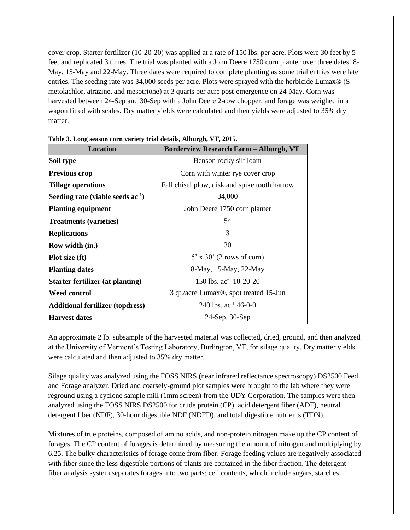cover crop. Starter fertilizer (10-20-20) was applied at a rate of 150 lbs. per acre. Plots were 30 feet by 5 feet and replicated 3 times. The trial was planted with a John Deere 1750 corn planter over three dates: 8- May, 15-May and 22-May. Three dates were required to complete planting as some trial entries were late entries. The seeding rate was 34,000 seeds per acre. Plots were sprayed with the herbicide Lumax® (Smetolachlor, atrazine, and mesotrione) at 3 quarts per acre post-emergence on 24-May. Corn was harvested between 24-Sep and 30-Sep with a John Deere 2-row chopper, and forage was weighed in a wagon fitted with scales. Dry matter yields were calculated and then yields were adjusted to 35% dry matter.

| <b>Location</b>                         | <b>Borderview Research Farm - Alburgh, VT</b>       |
|-----------------------------------------|-----------------------------------------------------|
| Soil type                               | Benson rocky silt loam                              |
| <b>Previous crop</b>                    | Corn with winter rye cover crop                     |
| Tillage operations                      | Fall chisel plow, disk and spike tooth harrow       |
| Seeding rate (viable seeds $ac^{-1}$ )  | 34,000                                              |
| <b>Planting equipment</b>               | John Deere 1750 corn planter                        |
| <b>Treatments (varieties)</b>           | 54                                                  |
| <b>Replications</b>                     | 3                                                   |
| Row width (in.)                         | 30                                                  |
| <b>Plot size (ft)</b>                   | $5'$ x 30' (2 rows of corn)                         |
| <b>Planting dates</b>                   | 8-May, 15-May, 22-May                               |
| Starter fertilizer (at planting)        | 150 lbs. $ac^{-1}$ 10-20-20                         |
| <b>Weed control</b>                     | 3 qt./acre Lumax <sup>®</sup> , spot treated 15-Jun |
| <b>Additional fertilizer (topdress)</b> | 240 lbs. $ac^{-1}$ 46-0-0                           |
| <b>Harvest dates</b>                    | 24-Sep, 30-Sep                                      |

|  |  | Table 3. Long season corn variety trial details, Alburgh, VT, 2015. |
|--|--|---------------------------------------------------------------------|
|  |  |                                                                     |

An approximate 2 lb. subsample of the harvested material was collected, dried, ground, and then analyzed at the University of Vermont's Testing Laboratory, Burlington, VT, for silage quality. Dry matter yields were calculated and then adjusted to 35% dry matter.

Silage quality was analyzed using the FOSS NIRS (near infrared reflectance spectroscopy) DS2500 Feed and Forage analyzer. Dried and coarsely-ground plot samples were brought to the lab where they were reground using a cyclone sample mill (1mm screen) from the UDY Corporation. The samples were then analyzed using the FOSS NIRS DS2500 for crude protein (CP), acid detergent fiber (ADF), neutral detergent fiber (NDF), 30-hour digestible NDF (NDFD), and total digestible nutrients (TDN).

Mixtures of true proteins, composed of amino acids, and non-protein nitrogen make up the CP content of forages. The CP content of forages is determined by measuring the amount of nitrogen and multiplying by 6.25. The bulky characteristics of forage come from fiber. Forage feeding values are negatively associated with fiber since the less digestible portions of plants are contained in the fiber fraction. The detergent fiber analysis system separates forages into two parts: cell contents, which include sugars, starches,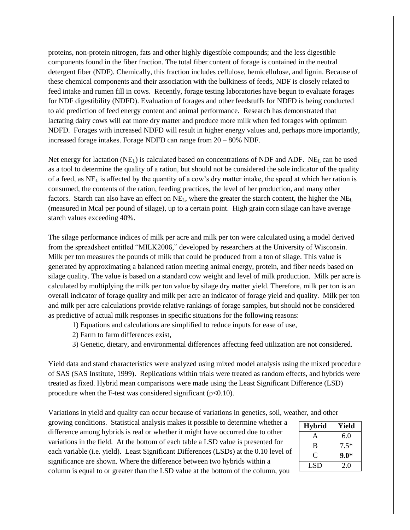proteins, non-protein nitrogen, fats and other highly digestible compounds; and the less digestible components found in the fiber fraction. The total fiber content of forage is contained in the neutral detergent fiber (NDF). Chemically, this fraction includes cellulose, hemicellulose, and lignin. Because of these chemical components and their association with the bulkiness of feeds, NDF is closely related to feed intake and rumen fill in cows. Recently, forage testing laboratories have begun to evaluate forages for NDF digestibility (NDFD). Evaluation of forages and other feedstuffs for NDFD is being conducted to aid prediction of feed energy content and animal performance. Research has demonstrated that lactating dairy cows will eat more dry matter and produce more milk when fed forages with optimum NDFD. Forages with increased NDFD will result in higher energy values and, perhaps more importantly, increased forage intakes. Forage NDFD can range from 20 – 80% NDF.

Net energy for lactation (NE<sub>L</sub>) is calculated based on concentrations of NDF and ADF. NE<sub>L</sub> can be used as a tool to determine the quality of a ration, but should not be considered the sole indicator of the quality of a feed, as NE<sup>L</sup> is affected by the quantity of a cow's dry matter intake, the speed at which her ration is consumed, the contents of the ration, feeding practices, the level of her production, and many other factors. Starch can also have an effect on NE<sub>L</sub>, where the greater the starch content, the higher the NE<sub>L</sub> (measured in Mcal per pound of silage), up to a certain point. High grain corn silage can have average starch values exceeding 40%.

The silage performance indices of milk per acre and milk per ton were calculated using a model derived from the spreadsheet entitled "MILK2006," developed by researchers at the University of Wisconsin. Milk per ton measures the pounds of milk that could be produced from a ton of silage. This value is generated by approximating a balanced ration meeting animal energy, protein, and fiber needs based on silage quality. The value is based on a standard cow weight and level of milk production. Milk per acre is calculated by multiplying the milk per ton value by silage dry matter yield. Therefore, milk per ton is an overall indicator of forage quality and milk per acre an indicator of forage yield and quality. Milk per ton and milk per acre calculations provide relative rankings of forage samples, but should not be considered as predictive of actual milk responses in specific situations for the following reasons:

1) Equations and calculations are simplified to reduce inputs for ease of use,

- 2) Farm to farm differences exist,
- 3) Genetic, dietary, and environmental differences affecting feed utilization are not considered.

Yield data and stand characteristics were analyzed using mixed model analysis using the mixed procedure of SAS (SAS Institute, 1999). Replications within trials were treated as random effects, and hybrids were treated as fixed. Hybrid mean comparisons were made using the Least Significant Difference (LSD) procedure when the F-test was considered significant  $(p<0.10)$ .

Variations in yield and quality can occur because of variations in genetics, soil, weather, and other

growing conditions. Statistical analysis makes it possible to determine whether a difference among hybrids is real or whether it might have occurred due to other variations in the field. At the bottom of each table a LSD value is presented for each variable (i.e. yield). Least Significant Differences (LSDs) at the 0.10 level of significance are shown. Where the difference between two hybrids within a column is equal to or greater than the LSD value at the bottom of the column, you

| <b>Hybrid</b> | Yield  |
|---------------|--------|
| A             | 6.0    |
| B             | $7.5*$ |
| C             | $9.0*$ |
| LSD           | 2.0    |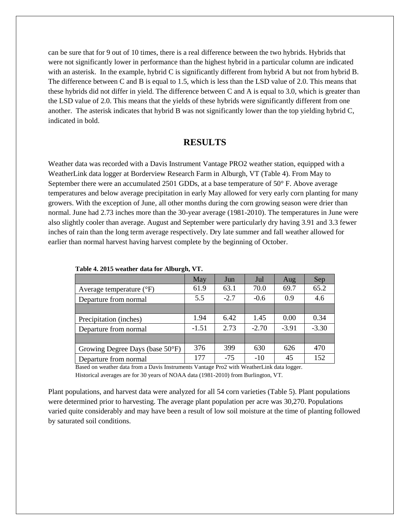can be sure that for 9 out of 10 times, there is a real difference between the two hybrids. Hybrids that were not significantly lower in performance than the highest hybrid in a particular column are indicated with an asterisk. In the example, hybrid C is significantly different from hybrid A but not from hybrid B. The difference between C and B is equal to 1.5, which is less than the LSD value of 2.0. This means that these hybrids did not differ in yield. The difference between C and A is equal to 3.0, which is greater than the LSD value of 2.0. This means that the yields of these hybrids were significantly different from one another. The asterisk indicates that hybrid B was not significantly lower than the top yielding hybrid C, indicated in bold.

## **RESULTS**

Weather data was recorded with a Davis Instrument Vantage PRO2 weather station, equipped with a WeatherLink data logger at Borderview Research Farm in Alburgh, VT (Table 4). From May to September there were an accumulated 2501 GDDs, at a base temperature of 50° F. Above average temperatures and below average precipitation in early May allowed for very early corn planting for many growers. With the exception of June, all other months during the corn growing season were drier than normal. June had 2.73 inches more than the 30-year average (1981-2010). The temperatures in June were also slightly cooler than average. August and September were particularly dry having 3.91 and 3.3 fewer inches of rain than the long term average respectively. Dry late summer and fall weather allowed for earlier than normal harvest having harvest complete by the beginning of October.

|                                     | May     | Jun    | Jul     | Aug     | Sep     |
|-------------------------------------|---------|--------|---------|---------|---------|
| Average temperature $({}^{\circ}F)$ | 61.9    | 63.1   | 70.0    | 69.7    | 65.2    |
| Departure from normal               | 5.5     | $-2.7$ | $-0.6$  | 0.9     | 4.6     |
|                                     |         |        |         |         |         |
| Precipitation (inches)              | 1.94    | 6.42   | 1.45    | 0.00    | 0.34    |
| Departure from normal               | $-1.51$ | 2.73   | $-2.70$ | $-3.91$ | $-3.30$ |
|                                     |         |        |         |         |         |
| Growing Degree Days (base 50°F)     | 376     | 399    | 630     | 626     | 470     |
| Departure from normal               | 177     | $-75$  | $-10$   | 45      | 152     |

**Table 4. 2015 weather data for Alburgh, VT.**

Based on weather data from a Davis Instruments Vantage Pro2 with WeatherLink data logger. Historical averages are for 30 years of NOAA data (1981-2010) from Burlington, VT.

Plant populations, and harvest data were analyzed for all 54 corn varieties (Table 5). Plant populations were determined prior to harvesting. The average plant population per acre was 30,270. Populations varied quite considerably and may have been a result of low soil moisture at the time of planting followed by saturated soil conditions.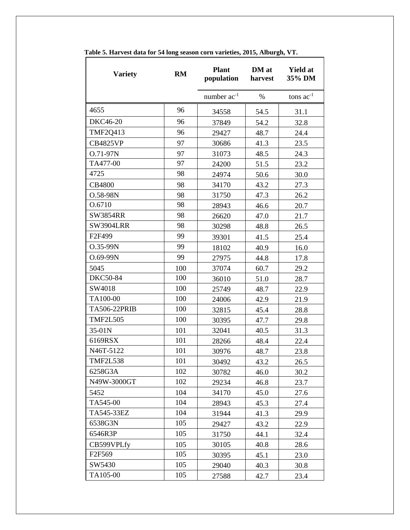| <b>Variety</b>      | RM  | <b>Plant</b><br>population | DM at<br>harvest | <b>Yield at</b><br>35% DM |
|---------------------|-----|----------------------------|------------------|---------------------------|
|                     |     | number $ac^{-1}$           | $\%$             | tons $ac^{-1}$            |
| 4655                | 96  | 34558                      | 54.5             | 31.1                      |
| <b>DKC46-20</b>     | 96  | 37849                      | 54.2             | 32.8                      |
| <b>TMF2O413</b>     | 96  | 29427                      | 48.7             | 24.4                      |
| <b>CB4825VP</b>     | 97  | 30686                      | 41.3             | 23.5                      |
| O.71-97N            | 97  | 31073                      | 48.5             | 24.3                      |
| TA477-00            | 97  | 24200                      | 51.5             | 23.2                      |
| 4725                | 98  | 24974                      | 50.6             | 30.0                      |
| <b>CB4800</b>       | 98  | 34170                      | 43.2             | 27.3                      |
| O.58-98N            | 98  | 31750                      | 47.3             | 26.2                      |
| O.6710              | 98  | 28943                      | 46.6             | 20.7                      |
| SW3854RR            | 98  | 26620                      | 47.0             | 21.7                      |
| <b>SW3904LRR</b>    | 98  | 30298                      | 48.8             | 26.5                      |
| F2F499              | 99  | 39301                      | 41.5             | 25.4                      |
| O.35-99N            | 99  | 18102                      | 40.9             | 16.0                      |
| $O.69 - 99N$        | 99  | 27975                      | 44.8             | 17.8                      |
| 5045                | 100 | 37074                      | 60.7             | 29.2                      |
| <b>DKC50-84</b>     | 100 | 36010                      | 51.0             | 28.7                      |
| SW4018              | 100 | 25749                      | 48.7             | 22.9                      |
| TA100-00            | 100 | 24006                      | 42.9             | 21.9                      |
| <b>TA506-22PRIB</b> | 100 | 32815                      | 45.4             | 28.8                      |
| <b>TMF2L505</b>     | 100 | 30395                      | 47.7             | 29.8                      |
| 35-01N              | 101 | 32041                      | 40.5             | 31.3                      |
| 6169RSX             | 101 | 28266                      | 48.4             | 22.4                      |
| N46T-5122           | 101 | 30976                      | 48.7             | 23.8                      |
| <b>TMF2L538</b>     | 101 | 30492                      | 43.2             | 26.5                      |
| 6258G3A             | 102 | 30782                      | 46.0             | 30.2                      |
| N49W-3000GT         | 102 | 29234                      | 46.8             | 23.7                      |
| 5452                | 104 | 34170                      | 45.0             | 27.6                      |
| TA545-00            | 104 | 28943                      | 45.3             | 27.4                      |
| TA545-33EZ          | 104 | 31944                      | 41.3             | 29.9                      |
| 6538G3N             | 105 | 29427                      | 43.2             | 22.9                      |
| 6546R3P             | 105 | 31750                      | 44.1             | 32.4                      |
| CB599VPLfy          | 105 | 30105                      | 40.8             | 28.6                      |
| F <sub>2F569</sub>  | 105 | 30395                      | 45.1             | 23.0                      |
| SW5430              | 105 | 29040                      | 40.3             | 30.8                      |
| TA105-00            | 105 | 27588                      | 42.7             | 23.4                      |

**Table 5. Harvest data for 54 long season corn varieties, 2015, Alburgh, VT.**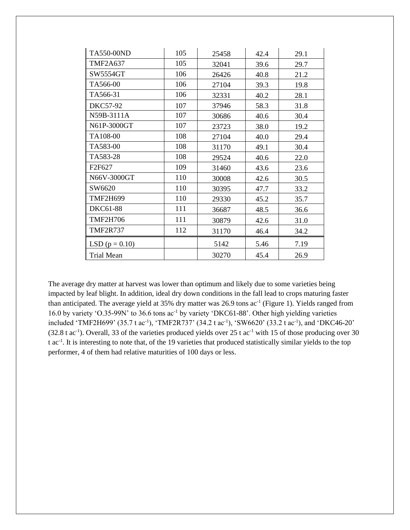| TA550-00ND         | 105 | 25458 | 42.4 | 29.1 |
|--------------------|-----|-------|------|------|
| <b>TMF2A637</b>    | 105 | 32041 | 39.6 | 29.7 |
| SW5554GT           | 106 | 26426 | 40.8 | 21.2 |
| TA566-00           | 106 | 27104 | 39.3 | 19.8 |
| TA566-31           | 106 | 32331 | 40.2 | 28.1 |
| <b>DKC57-92</b>    | 107 | 37946 | 58.3 | 31.8 |
| N59B-3111A         | 107 | 30686 | 40.6 | 30.4 |
| N61P-3000GT        | 107 | 23723 | 38.0 | 19.2 |
| TA108-00           | 108 | 27104 | 40.0 | 29.4 |
| TA583-00           | 108 | 31170 | 49.1 | 30.4 |
| TA583-28           | 108 | 29524 | 40.6 | 22.0 |
| F2F627             | 109 | 31460 | 43.6 | 23.6 |
| N66V-3000GT        | 110 | 30008 | 42.6 | 30.5 |
| SW6620             | 110 | 30395 | 47.7 | 33.2 |
| <b>TMF2H699</b>    | 110 | 29330 | 45.2 | 35.7 |
| <b>DKC61-88</b>    | 111 | 36687 | 48.5 | 36.6 |
| <b>TMF2H706</b>    | 111 | 30879 | 42.6 | 31.0 |
| <b>TMF2R737</b>    | 112 | 31170 | 46.4 | 34.2 |
| LSD ( $p = 0.10$ ) |     | 5142  | 5.46 | 7.19 |
| <b>Trial Mean</b>  |     | 30270 | 45.4 | 26.9 |

The average dry matter at harvest was lower than optimum and likely due to some varieties being impacted by leaf blight. In addition, ideal dry down conditions in the fall lead to crops maturing faster than anticipated. The average yield at 35% dry matter was 26.9 tons ac<sup>-1</sup> (Figure 1). Yields ranged from 16.0 by variety 'O.35-99N' to 36.6 tons ac-1 by variety 'DKC61-88'. Other high yielding varieties included 'TMF2H699' (35.7 t ac<sup>-1</sup>), 'TMF2R737' (34.2 t ac<sup>-1</sup>), 'SW6620' (33.2 t ac<sup>-1</sup>), and 'DKC46-20'  $(32.8 \text{ t ac}^{-1})$ . Overall, 33 of the varieties produced yields over 25 t ac<sup>-1</sup> with 15 of those producing over 30 t ac<sup>-1</sup>. It is interesting to note that, of the 19 varieties that produced statistically similar yields to the top performer, 4 of them had relative maturities of 100 days or less.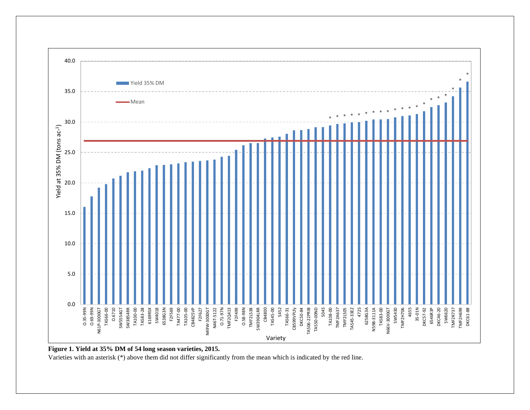

#### **Figure 1. Yield at 35% DM of 54 long season varieties, 2015.**

Varieties with an asterisk (\*) above them did not differ significantly from the mean which is indicated by the red line.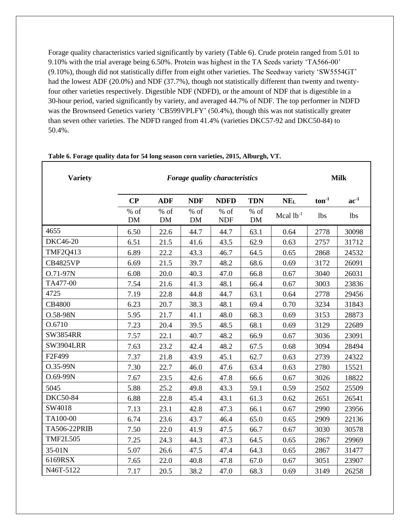Forage quality characteristics varied significantly by variety (Table 6). Crude protein ranged from 5.01 to 9.10% with the trial average being 6.50%. Protein was highest in the TA Seeds variety 'TA566-00' (9.10%), though did not statistically differ from eight other varieties. The Seedway variety 'SW5554GT' had the lowest ADF (20.0%) and NDF (37.7%), though not statistically different than twenty and twentyfour other varieties respectively. Digestible NDF (NDFD), or the amount of NDF that is digestible in a 30-hour period, varied significantly by variety, and averaged 44.7% of NDF. The top performer in NDFD was the Brownseed Genetics variety 'CB599VPLFY' (50.4%), though this was not statistically greater than seven other varieties. The NDFD ranged from 41.4% (varieties DKC57-92 and DKC50-84) to 50.4%.

| <b>Variety</b>      | Forage quality characteristics |                     |              |                      |                     |                 | <b>Milk</b> |            |
|---------------------|--------------------------------|---------------------|--------------|----------------------|---------------------|-----------------|-------------|------------|
|                     | CP                             | <b>ADF</b>          | <b>NDF</b>   | <b>NDFD</b>          | <b>TDN</b>          | NE <sub>L</sub> | $ton-1$     | $ac^{-1}$  |
|                     | % of<br><b>DM</b>              | $%$ of<br><b>DM</b> | $%$ of<br>DM | $%$ of<br><b>NDF</b> | $%$ of<br><b>DM</b> | Mcal $1b^{-1}$  | <b>lbs</b>  | <b>lbs</b> |
| 4655                | 6.50                           | 22.6                | 44.7         | 44.7                 | 63.1                | 0.64            | 2778        | 30098      |
| <b>DKC46-20</b>     | 6.51                           | 21.5                | 41.6         | 43.5                 | 62.9                | 0.63            | 2757        | 31712      |
| <b>TMF2Q413</b>     | 6.89                           | 22.2                | 43.3         | 46.7                 | 64.5                | 0.65            | 2868        | 24532      |
| <b>CB4825VP</b>     | 6.69                           | 21.5                | 39.7         | 48.2                 | 68.6                | 0.69            | 3172        | 26091      |
| O.71-97N            | 6.08                           | 20.0                | 40.3         | 47.0                 | 66.8                | 0.67            | 3040        | 26031      |
| TA477-00            | 7.54                           | 21.6                | 41.3         | 48.1                 | 66.4                | 0.67            | 3003        | 23836      |
| 4725                | 7.19                           | 22.8                | 44.8         | 44.7                 | 63.1                | 0.64            | 2778        | 29456      |
| <b>CB4800</b>       | 6.23                           | 20.7                | 38.3         | 48.1                 | 69.4                | 0.70            | 3234        | 31843      |
| O.58-98N            | 5.95                           | 21.7                | 41.1         | 48.0                 | 68.3                | 0.69            | 3153        | 28873      |
| O.6710              | 7.23                           | 20.4                | 39.5         | 48.5                 | 68.1                | 0.69            | 3129        | 22689      |
| <b>SW3854RR</b>     | 7.57                           | 22.1                | 40.7         | 48.2                 | 66.9                | 0.67            | 3036        | 23091      |
| <b>SW3904LRR</b>    | 7.63                           | 23.2                | 42.4         | 48.2                 | 67.5                | 0.68            | 3094        | 28494      |
| F2F499              | 7.37                           | 21.8                | 43.9         | 45.1                 | 62.7                | 0.63            | 2739        | 24322      |
| O.35-99N            | 7.30                           | 22.7                | 46.0         | 47.6                 | 63.4                | 0.63            | 2780        | 15521      |
| O.69-99N            | 7.67                           | 23.5                | 42.6         | 47.8                 | 66.6                | 0.67            | 3026        | 18822      |
| 5045                | 5.88                           | 25.2                | 49.8         | 43.3                 | 59.1                | 0.59            | 2502        | 25509      |
| <b>DKC50-84</b>     | 6.88                           | 22.8                | 45.4         | 43.1                 | 61.3                | 0.62            | 2651        | 26541      |
| SW4018              | 7.13                           | 23.1                | 42.8         | 47.3                 | 66.1                | 0.67            | 2990        | 23956      |
| TA100-00            | 6.74                           | 23.6                | 43.7         | 46.4                 | 65.0                | 0.65            | 2909        | 22136      |
| <b>TA506-22PRIB</b> | 7.50                           | 22.0                | 41.9         | 47.5                 | 66.7                | 0.67            | 3030        | 30578      |
| <b>TMF2L505</b>     | 7.25                           | 24.3                | 44.3         | 47.3                 | 64.5                | 0.65            | 2867        | 29969      |
| 35-01N              | 5.07                           | 26.6                | 47.5         | 47.4                 | 64.3                | 0.65            | 2867        | 31477      |
| 6169RSX             | 7.65                           | 22.0                | 40.8         | 47.8                 | 67.0                | 0.67            | 3051        | 23907      |
| N46T-5122           | 7.17                           | 20.5                | 38.2         | 47.0                 | 68.3                | 0.69            | 3149        | 26258      |

#### **Table 6. Forage quality data for 54 long season corn varieties, 2015, Alburgh, VT.**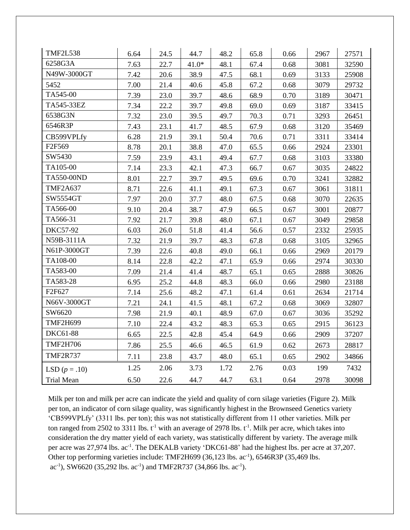| <b>TMF2L538</b>   | 6.64 | 24.5 | 44.7    | 48.2 | 65.8 | 0.66 | 2967 | 27571 |
|-------------------|------|------|---------|------|------|------|------|-------|
| 6258G3A           | 7.63 | 22.7 | $41.0*$ | 48.1 | 67.4 | 0.68 | 3081 | 32590 |
| N49W-3000GT       | 7.42 | 20.6 | 38.9    | 47.5 | 68.1 | 0.69 | 3133 | 25908 |
| 5452              | 7.00 | 21.4 | 40.6    | 45.8 | 67.2 | 0.68 | 3079 | 29732 |
| TA545-00          | 7.39 | 23.0 | 39.7    | 48.6 | 68.9 | 0.70 | 3189 | 30471 |
| TA545-33EZ        | 7.34 | 22.2 | 39.7    | 49.8 | 69.0 | 0.69 | 3187 | 33415 |
| 6538G3N           | 7.32 | 23.0 | 39.5    | 49.7 | 70.3 | 0.71 | 3293 | 26451 |
| 6546R3P           | 7.43 | 23.1 | 41.7    | 48.5 | 67.9 | 0.68 | 3120 | 35469 |
| CB599VPLfy        | 6.28 | 21.9 | 39.1    | 50.4 | 70.6 | 0.71 | 3311 | 33414 |
| F2F569            | 8.78 | 20.1 | 38.8    | 47.0 | 65.5 | 0.66 | 2924 | 23301 |
| SW5430            | 7.59 | 23.9 | 43.1    | 49.4 | 67.7 | 0.68 | 3103 | 33380 |
| TA105-00          | 7.14 | 23.3 | 42.1    | 47.3 | 66.7 | 0.67 | 3035 | 24822 |
| TA550-00ND        | 8.01 | 22.7 | 39.7    | 49.5 | 69.6 | 0.70 | 3241 | 32882 |
| <b>TMF2A637</b>   | 8.71 | 22.6 | 41.1    | 49.1 | 67.3 | 0.67 | 3061 | 31811 |
| SW5554GT          | 7.97 | 20.0 | 37.7    | 48.0 | 67.5 | 0.68 | 3070 | 22635 |
| TA566-00          | 9.10 | 20.4 | 38.7    | 47.9 | 66.5 | 0.67 | 3001 | 20877 |
| TA566-31          | 7.92 | 21.7 | 39.8    | 48.0 | 67.1 | 0.67 | 3049 | 29858 |
| <b>DKC57-92</b>   | 6.03 | 26.0 | 51.8    | 41.4 | 56.6 | 0.57 | 2332 | 25935 |
| N59B-3111A        | 7.32 | 21.9 | 39.7    | 48.3 | 67.8 | 0.68 | 3105 | 32965 |
| N61P-3000GT       | 7.39 | 22.6 | 40.8    | 49.0 | 66.1 | 0.66 | 2969 | 20179 |
| TA108-00          | 8.14 | 22.8 | 42.2    | 47.1 | 65.9 | 0.66 | 2974 | 30330 |
| TA583-00          | 7.09 | 21.4 | 41.4    | 48.7 | 65.1 | 0.65 | 2888 | 30826 |
| TA583-28          | 6.95 | 25.2 | 44.8    | 48.3 | 66.0 | 0.66 | 2980 | 23188 |
| F2F627            | 7.14 | 25.6 | 48.2    | 47.1 | 61.4 | 0.61 | 2634 | 21714 |
| N66V-3000GT       | 7.21 | 24.1 | 41.5    | 48.1 | 67.2 | 0.68 | 3069 | 32807 |
| SW6620            | 7.98 | 21.9 | 40.1    | 48.9 | 67.0 | 0.67 | 3036 | 35292 |
| <b>TMF2H699</b>   | 7.10 | 22.4 | 43.2    | 48.3 | 65.3 | 0.65 | 2915 | 36123 |
| DKC61-88          | 6.65 | 22.5 | 42.8    | 45.4 | 64.9 | 0.66 | 2909 | 37207 |
| <b>TMF2H706</b>   | 7.86 | 25.5 | 46.6    | 46.5 | 61.9 | 0.62 | 2673 | 28817 |
| <b>TMF2R737</b>   | 7.11 | 23.8 | 43.7    | 48.0 | 65.1 | 0.65 | 2902 | 34866 |
| LSD $(p=.10)$     | 1.25 | 2.06 | 3.73    | 1.72 | 2.76 | 0.03 | 199  | 7432  |
| <b>Trial Mean</b> | 6.50 | 22.6 | 44.7    | 44.7 | 63.1 | 0.64 | 2978 | 30098 |

Milk per ton and milk per acre can indicate the yield and quality of corn silage varieties (Figure 2). Milk per ton, an indicator of corn silage quality, was significantly highest in the Brownseed Genetics variety 'CB599VPLfy' (3311 lbs. per ton); this was not statistically different from 11 other varieties. Milk per ton ranged from 2502 to 3311 lbs.  $t^{-1}$  with an average of 2978 lbs.  $t^{-1}$ . Milk per acre, which takes into consideration the dry matter yield of each variety, was statistically different by variety. The average milk per acre was 27,974 lbs. ac<sup>-1</sup>. The DEKALB variety 'DKC61-88' had the highest lbs. per acre at 37,207. Other top performing varieties include: TMF2H699 (36,123 lbs. ac<sup>-1</sup>), 6546R3P (35,469 lbs.  $ac^{-1}$ ), SW6620 (35,292 lbs.  $ac^{-1}$ ) and TMF2R737 (34,866 lbs.  $ac^{-1}$ ).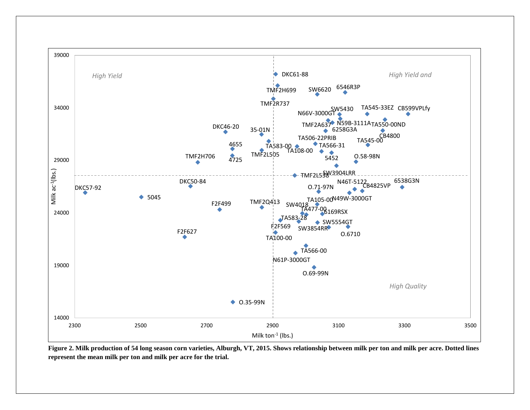

**Figure 2. Milk production of 54 long season corn varieties, Alburgh, VT, 2015. Shows relationship between milk per ton and milk per acre. Dotted lines represent the mean milk per ton and milk per acre for the trial.**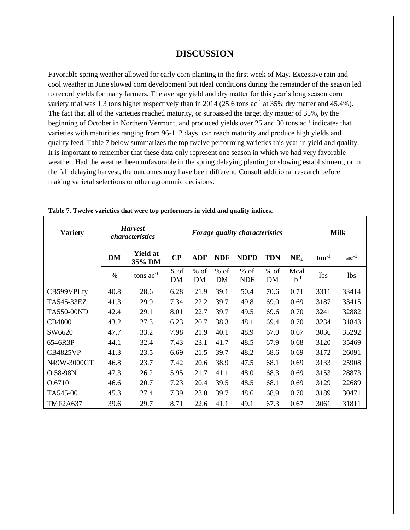## **DISCUSSION**

Favorable spring weather allowed for early corn planting in the first week of May. Excessive rain and cool weather in June slowed corn development but ideal conditions during the remainder of the season led to record yields for many farmers. The average yield and dry matter for this year's long season corn variety trial was 1.3 tons higher respectively than in 2014 (25.6 tons ac<sup>-1</sup> at 35% dry matter and 45.4%). The fact that all of the varieties reached maturity, or surpassed the target dry matter of 35%, by the beginning of October in Northern Vermont, and produced yields over 25 and 30 tons ac<sup>-1</sup> indicates that varieties with maturities ranging from 96-112 days, can reach maturity and produce high yields and quality feed. Table 7 below summarizes the top twelve performing varieties this year in yield and quality. It is important to remember that these data only represent one season in which we had very favorable weather. Had the weather been unfavorable in the spring delaying planting or slowing establishment, or in the fall delaying harvest, the outcomes may have been different. Consult additional research before making varietal selections or other agronomic decisions.

| <b>Variety</b>  | <b>Harvest</b><br><i>characteristics</i> |                           | <b>Forage quality characteristics</b> |                     |                   |                      |              |                   | <b>Milk</b> |            |
|-----------------|------------------------------------------|---------------------------|---------------------------------------|---------------------|-------------------|----------------------|--------------|-------------------|-------------|------------|
|                 | <b>DM</b>                                | <b>Yield at</b><br>35% DM | $\bf CP$                              | ADF                 | <b>NDF</b>        | <b>NDFD</b>          | <b>TDN</b>   | $NE_{L}$          | $ton-1$     | $ac^{-1}$  |
|                 | $\%$                                     | tons $ac^{-1}$            | $%$ of<br>DM                          | $%$ of<br><b>DM</b> | % of<br><b>DM</b> | $%$ of<br><b>NDF</b> | $%$ of<br>DM | Mcal<br>$1b^{-1}$ | <b>lbs</b>  | <b>lbs</b> |
| CB599VPLfy      | 40.8                                     | 28.6                      | 6.28                                  | 21.9                | 39.1              | 50.4                 | 70.6         | 0.71              | 3311        | 33414      |
| TA545-33EZ      | 41.3                                     | 29.9                      | 7.34                                  | 22.2                | 39.7              | 49.8                 | 69.0         | 0.69              | 3187        | 33415      |
| TA550-00ND      | 42.4                                     | 29.1                      | 8.01                                  | 22.7                | 39.7              | 49.5                 | 69.6         | 0.70              | 3241        | 32882      |
| <b>CB4800</b>   | 43.2                                     | 27.3                      | 6.23                                  | 20.7                | 38.3              | 48.1                 | 69.4         | 0.70              | 3234        | 31843      |
| SW6620          | 47.7                                     | 33.2                      | 7.98                                  | 21.9                | 40.1              | 48.9                 | 67.0         | 0.67              | 3036        | 35292      |
| 6546R3P         | 44.1                                     | 32.4                      | 7.43                                  | 23.1                | 41.7              | 48.5                 | 67.9         | 0.68              | 3120        | 35469      |
| <b>CB4825VP</b> | 41.3                                     | 23.5                      | 6.69                                  | 21.5                | 39.7              | 48.2                 | 68.6         | 0.69              | 3172        | 26091      |
| N49W-3000GT     | 46.8                                     | 23.7                      | 7.42                                  | 20.6                | 38.9              | 47.5                 | 68.1         | 0.69              | 3133        | 25908      |
| O.58-98N        | 47.3                                     | 26.2                      | 5.95                                  | 21.7                | 41.1              | 48.0                 | 68.3         | 0.69              | 3153        | 28873      |
| O.6710          | 46.6                                     | 20.7                      | 7.23                                  | 20.4                | 39.5              | 48.5                 | 68.1         | 0.69              | 3129        | 22689      |
| TA545-00        | 45.3                                     | 27.4                      | 7.39                                  | 23.0                | 39.7              | 48.6                 | 68.9         | 0.70              | 3189        | 30471      |
| <b>TMF2A637</b> | 39.6                                     | 29.7                      | 8.71                                  | 22.6                | 41.1              | 49.1                 | 67.3         | 0.67              | 3061        | 31811      |

#### **Table 7. Twelve varieties that were top performers in yield and quality indices.**